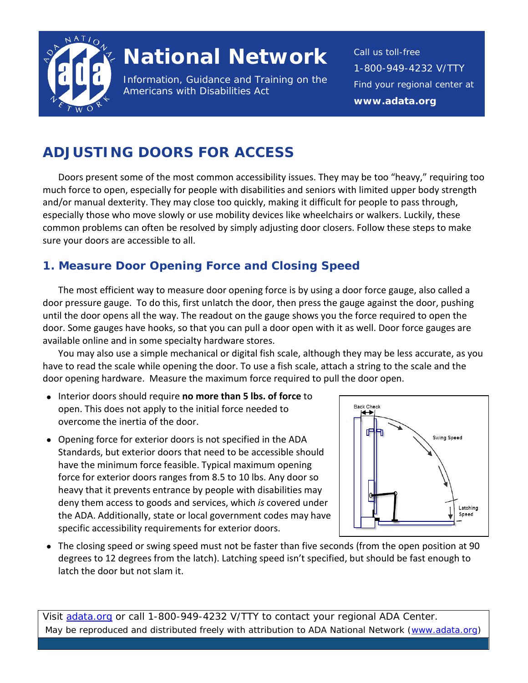

# **National Network**

Information, Guidance and Training on the Americans with Disabilities Act

Call us toll-free 1-800-949-4232 V/TTY Find your regional center at **www.adata.org**

# **ADJUSTING DOORS FOR ACCESS**

Doors present some of the most common accessibility issues. They may be too "heavy," requiring too much force to open, especially for people with disabilities and seniors with limited upper body strength and/or manual dexterity. They may close too quickly, making it difficult for people to pass through, especially those who move slowly or use mobility devices like wheelchairs or walkers. Luckily, these common problems can often be resolved by simply adjusting door closers. Follow these steps to make sure your doors are accessible to all.

# **1. Measure Door Opening Force and Closing Speed**

The most efficient way to measure door opening force is by using a door force gauge, also called a door pressure gauge. To do this, first unlatch the door, then press the gauge against the door, pushing until the door opens all the way. The readout on the gauge shows you the force required to open the door. Some gauges have hooks, so that you can pull a door open with it as well. Door force gauges are available online and in some specialty hardware stores.

You may also use a simple mechanical or digital fish scale, although they may be less accurate, as you have to read the scale while opening the door. To use a fish scale, attach a string to the scale and the door opening hardware.Measure the maximum force required to pull the door open.

- Interior doors should require **no more than 5 lbs. of force** to open. This does not apply to the initial force needed to overcome the inertia of the door.
- Opening force for exterior doors is not specified in the ADA Standards, but exterior doors that need to be accessible should have the minimum force feasible. Typical maximum opening force for exterior doors ranges from 8.5 to 10 lbs. Any door so heavy that it prevents entrance by people with disabilities may deny them access to goods and services, which *is* covered under the ADA. Additionally, state or local government codes may have specific accessibility requirements for exterior doors.



• The closing speed or swing speed must not be faster than five seconds (from the open position at 90 degrees to 12 degrees from the latch). Latching speed isn't specified, but should be fast enough to latch the door but not slam it.

Visit [adata.org](http://www.adata.org/) or call 1-800-949-4232 V/TTY to contact your regional ADA Center. May be reproduced and distributed freely with attribution to ADA National Network (www.adata.org)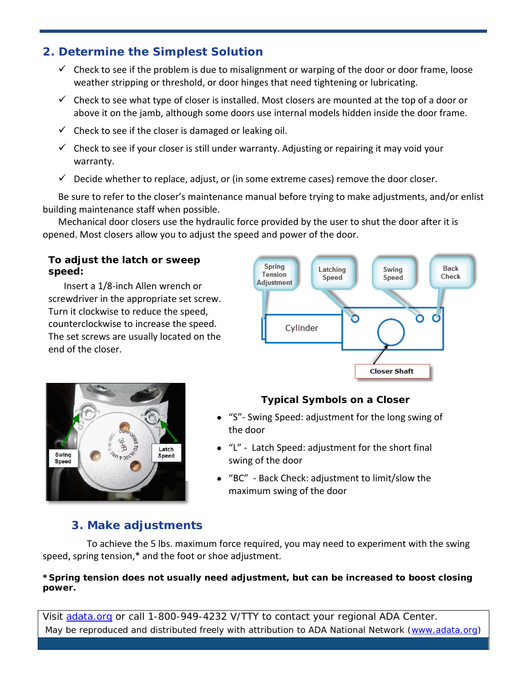## **2. Determine the Simplest Solution**

- $\checkmark$  Check to see if the problem is due to misalignment or warping of the door or door frame, loose weather stripping or threshold, or door hinges that need tightening or lubricating.
- $\checkmark$  Check to see what type of closer is installed. Most closers are mounted at the top of a door or above it on the jamb, although some doors use internal models hidden inside the door frame.
- $\checkmark$  Check to see if the closer is damaged or leaking oil.
- $\checkmark$  Check to see if your closer is still under warranty. Adjusting or repairing it may void your warranty.
- $\checkmark$  Decide whether to replace, adjust, or (in some extreme cases) remove the door closer.

Be sure to refer to the closer's maintenance manual before trying to make adjustments, and/or enlist building maintenance staff when possible.

Mechanical door closers use the hydraulic force provided by the user to shut the door after it is opened. Most closers allow you to adjust the speed and power of the door.

#### **To adjust the latch or sweep speed:**

Insert a 1/8-inch Allen wrench or screwdriver in the appropriate set screw. Turn it clockwise to reduce the speed, counterclockwise to increase the speed. The set screws are usually located on the end of the closer.





### **Typical Symbols on a Closer**

- "S"- Swing Speed: adjustment for the long swing of the door
- "L" Latch Speed: adjustment for the short final swing of the door
- "BC" Back Check: adjustment to limit/slow the maximum swing of the door

# **3. Make adjustments**

To achieve the 5 lbs. maximum force required, you may need to experiment with the swing speed, spring tension,\* and the foot or shoe adjustment.

#### **\*Spring tension does not usually need adjustment, but can be increased to boost closing power.**

Visit [adata.org](http://www.adata.org/) or call 1-800-949-4232 V/TTY to contact your regional ADA Center. May be reproduced and distributed freely with attribution to ADA National Network (www.adata.org)